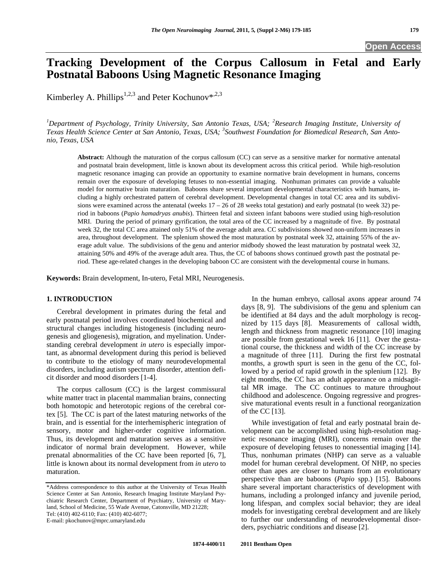# **Tracki**n**g Development of the Corpus Callosum in Fetal and Early Postnatal Baboons Using Magnetic Resonance Imaging**

Kimberley A. Phillips<sup>1,2,3</sup> and Peter Kochunov\*,<sup>2,3</sup>

<sup>1</sup>Department of Psychology, Trinity University, San Antonio Texas, USA; <sup>2</sup>Research Imaging Institute, University of *Texas Health Science Center at San Antonio, Texas, USA; <sup>3</sup> Southwest Foundation for Biomedical Research, San Antonio, Texas, USA* 

**Abstract:** Although the maturation of the corpus callosum (CC) can serve as a sensitive marker for normative antenatal and postnatal brain development, little is known about its development across this critical period. While high-resolution magnetic resonance imaging can provide an opportunity to examine normative brain development in humans, concerns remain over the exposure of developing fetuses to non-essential imaging. Nonhuman primates can provide a valuable model for normative brain maturation. Baboons share several important developmental characteristics with humans, including a highly orchestrated pattern of cerebral development. Developmental changes in total CC area and its subdivisions were examined across the antenatal (weeks  $17 - 26$  of 28 weeks total gestation) and early postnatal (to week 32) period in baboons (*Papio hamadryas anubis*). Thirteen fetal and sixteen infant baboons were studied using high-resolution MRI. During the period of primary gyrification, the total area of the CC increased by a magnitude of five. By postnatal week 32, the total CC area attained only 51% of the average adult area. CC subdivisions showed non-uniform increases in area, throughout development. The splenium showed the most maturation by postnatal week 32, attaining 55% of the average adult value. The subdivisions of the genu and anterior midbody showed the least maturation by postnatal week 32, attaining 50% and 49% of the average adult area. Thus, the CC of baboons shows continued growth past the postnatal period. These age-related changes in the developing baboon CC are consistent with the developmental course in humans.

**Keywords:** Brain development, In-utero, Fetal MRI, Neurogenesis.

# **1. INTRODUCTION**

 Cerebral development in primates during the fetal and early postnatal period involves coordinated biochemical and structural changes including histogenesis (including neurogenesis and gliogenesis), migration, and myelination. Understanding cerebral development *in utero* is especially important, as abnormal development during this period is believed to contribute to the etiology of many neurodevelopmental disorders, including autism spectrum disorder, attention deficit disorder and mood disorders [1-4].

 The corpus callosum (CC) is the largest commissural white matter tract in placental mammalian brains, connecting both homotopic and heterotopic regions of the cerebral cortex [5]. The CC is part of the latest maturing networks of the brain, and is essential for the interhemispheric integration of sensory, motor and higher-order cognitive information. Thus, its development and maturation serves as a sensitive indicator of normal brain development. However, while prenatal abnormalities of the CC have been reported [6, 7], little is known about its normal development from *in utero* to maturation.

E-mail: pkochunov@mprc.umaryland.edu

 In the human embryo, callosal axons appear around 74 days [8, 9]. The subdivisions of the genu and splenium can be identified at 84 days and the adult morphology is recognized by 115 days [8]. Measurements of callosal width, length and thickness from magnetic resonance [10] imaging are possible from gestational week 16 [11]. Over the gestational course, the thickness and width of the CC increase by a magnitude of three [11]. During the first few postnatal months, a growth spurt is seen in the genu of the CC, followed by a period of rapid growth in the splenium [12]. By eight months, the CC has an adult appearance on a midsagittal MR image. The CC continues to mature throughout childhood and adolescence. Ongoing regressive and progressive maturational events result in a functional reorganization of the CC [13].

 While investigation of fetal and early postnatal brain development can be accomplished using high-resolution magnetic resonance imaging (MRI), concerns remain over the exposure of developing fetuses to nonessential imaging [14]. Thus, nonhuman primates (NHP) can serve as a valuable model for human cerebral development. Of NHP, no species other than apes are closer to humans from an evolutionary perspective than are baboons (*Papio* spp.) [15]. Baboons share several important characteristics of development with humans, including a prolonged infancy and juvenile period, long lifespan, and complex social behavior; they are ideal models for investigating cerebral development and are likely to further our understanding of neurodevelopmental disorders, psychiatric conditions and disease [2].

<sup>\*</sup>Address correspondence to this author at the University of Texas Health Science Center at San Antonio, Research Imaging Institute Maryland Psychiatric Research Center, Department of Psychiatry, University of Maryland, School of Medicine, 55 Wade Avenue, Catonsville, MD 21228; Tel: (410) 402-6110; Fax: (410) 402-6077;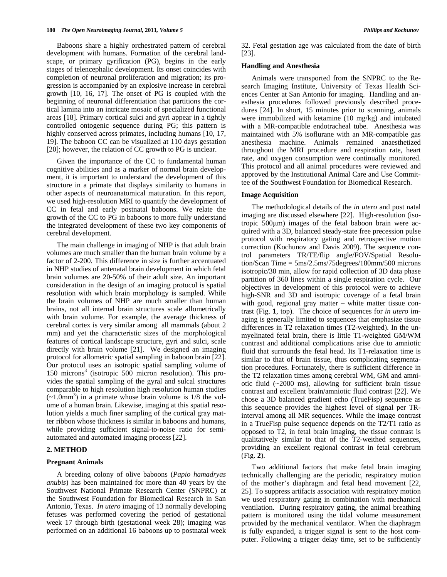Baboons share a highly orchestrated pattern of cerebral development with humans. Formation of the cerebral landscape, or primary gyrification (PG), begins in the early stages of telencephalic development. Its onset coincides with completion of neuronal proliferation and migration; its progression is accompanied by an explosive increase in cerebral growth [10, 16, 17]. The onset of PG is coupled with the beginning of neuronal differentiation that partitions the cortical lamina into an intricate mosaic of specialized functional areas [18]. Primary cortical sulci and gyri appear in a tightly controlled ontogenic sequence during PG; this pattern is highly conserved across primates, including humans [10, 17, 19]. The baboon CC can be visualized at 110 days gestation [20]; however, the relation of CC growth to PG is unclear.

 Given the importance of the CC to fundamental human cognitive abilities and as a marker of normal brain development, it is important to understand the development of this structure in a primate that displays similarity to humans in other aspects of neuroanatomical maturation. In this report, we used high-resolution MRI to quantify the development of CC in fetal and early postnatal baboons. We relate the growth of the CC to PG in baboons to more fully understand the integrated development of these two key components of cerebral development.

 The main challenge in imaging of NHP is that adult brain volumes are much smaller than the human brain volume by a factor of 2-200. This difference in size is further accentuated in NHP studies of antenatal brain development in which fetal brain volumes are 20-50% of their adult size. An important consideration in the design of an imaging protocol is spatial resolution with which brain morphology is sampled. While the brain volumes of NHP are much smaller than human brains, not all internal brain structures scale allometrically with brain volume. For example, the average thickness of cerebral cortex is very similar among all mammals (about 2 mm) and yet the characteristic sizes of the morphological features of cortical landscape structure, gyri and sulci, scale directly with brain volume [21]. We designed an imaging protocol for allometric spatial sampling in baboon brain [22]. Our protocol uses an isotropic spatial sampling volume of 150 microns<sup>3</sup> (isotropic 500 micron resolution). This provides the spatial sampling of the gyral and sulcal structures comparable to high resolution high resolution human studies  $(-1.0$ mm<sup>3</sup>) in a primate whose brain volume is  $1/8$  the volume of a human brain. Likewise, imaging at this spatial resolution yields a much finer sampling of the cortical gray matter ribbon whose thickness is similar in baboons and humans, while providing sufficient signal-to-noise ratio for semiautomated and automated imaging process [22].

#### **2. METHOD**

# **Pregnant Animals**

 A breeding colony of olive baboons (*Papio hamadryas anubis*) has been maintained for more than 40 years by the Southwest National Primate Research Center (SNPRC) at the Southwest Foundation for Biomedical Research in San Antonio, Texas. *In utero* imaging of 13 normally developing fetuses was performed covering the period of gestational week 17 through birth (gestational week 28); imaging was performed on an additional 16 baboons up to postnatal week 32. Fetal gestation age was calculated from the date of birth [23].

# **Handling and Anesthesia**

 Animals were transported from the SNPRC to the Research Imaging Institute, University of Texas Health Sciences Center at San Antonio for imaging. Handling and anesthesia procedures followed previously described procedures [24]. In short, 15 minutes prior to scanning, animals were immobilized with ketamine (10 mg/kg) and intubated with a MR-compatible endotracheal tube. Anesthesia was maintained with 5% isoflurane with an MR-compatible gas anesthesia machine. Animals remained anaesthetized throughout the MRI procedure and respiration rate, heart rate, and oxygen consumption were continually monitored. This protocol and all animal procedures were reviewed and approved by the Institutional Animal Care and Use Committee of the Southwest Foundation for Biomedical Research.

### **Image Acquisition**

 The methodological details of the *in utero* and post natal imaging are discussed elsewhere [22]. High-resolution (isotropic 500m) images of the fetal baboon brain were acquired with a 3D, balanced steady-state free precession pulse protocol with respiratory gating and retrospective motion correction (Kochunov and Davis 2009). The sequence control parameters TR/TE/flip angle/FOV/Spatial Resolution/Scan Time = 5ms/2.5ms/75degrees/180mm/500 microns isotropic/30 min, allow for rapid collection of 3D data phase partition of 360 lines within a single respiration cycle. Our objectives in development of this protocol were to achieve high-SNR and 3D and isotropic coverage of a fetal brain with good, regional gray matter – white matter tissue contrast (Fig. **1**, top). The choice of sequences for *in utero* imaging is generally limited to sequences that emphasize tissue differences in T2 relaxation times (T2-weighted). In the unmyelinated fetal brain, there is little T1-weighted GM/WM contrast and additional complications arise due to amniotic fluid that surrounds the fetal head. Its T1-relaxation time is similar to that of brain tissue, thus complicating segmentation procedures. Fortunately, there is sufficient difference in the T2 relaxation times among cerebral WM, GM and amniotic fluid (~2000 ms), allowing for sufficient brain tissue contrast and excellent brain/amniotic fluid contrast [22]. We chose a 3D balanced gradient echo (TrueFisp) sequence as this sequence provides the highest level of signal per TRinterval among all MR sequences. While the image contrast in a TrueFisp pulse sequence depends on the T2/T1 ratio as opposed to T2, in fetal brain imaging, the tissue contrast is qualitatively similar to that of the T2-weithed sequences, providing an excellent regional contrast in fetal cerebrum (Fig. **2**).

 Two additional factors that make fetal brain imaging technically challenging are the periodic, respiratory motion of the mother's diaphragm and fetal head movement [22, 25]. To suppress artifacts association with respiratory motion we used respiratory gating in combination with mechanical ventilation. During respiratory gating, the animal breathing pattern is monitored using the tidal volume measurement provided by the mechanical ventilator. When the diaphragm is fully expanded, a trigger signal is sent to the host computer. Following a trigger delay time, set to be sufficiently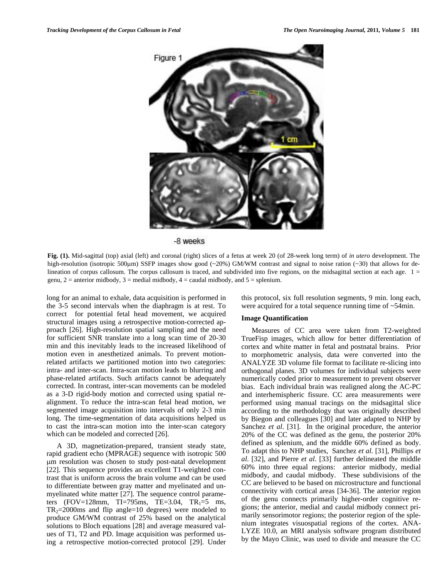

-8 weeks

**Fig. (1).** Mid-sagittal (top) axial (left) and coronal (right) slices of a fetus at week 20 (of 28-week long term) of *in utero* development. The high-resolution (isotropic 500µm) SSFP images show good (~20%) GM/WM contrast and signal to noise ration (~30) that allows for delineation of corpus callosum. The corpus callosum is traced, and subdivided into five regions, on the midsagittal section at each age.  $1 =$ genu,  $2 =$  anterior midbody,  $3 =$  medial midbody,  $4 =$  caudal midbody, and  $5 =$  splenium.

long for an animal to exhale, data acquisition is performed in the 3-5 second intervals when the diaphragm is at rest. To correct for potential fetal head movement, we acquired structural images using a retrospective motion-corrected approach [26]. High-resolution spatial sampling and the need for sufficient SNR translate into a long scan time of 20-30 min and this inevitably leads to the increased likelihood of motion even in anesthetized animals. To prevent motionrelated artifacts we partitioned motion into two categories: intra- and inter-scan. Intra-scan motion leads to blurring and phase-related artifacts. Such artifacts cannot be adequately corrected. In contrast, inter-scan movements can be modeled as a 3-D rigid-body motion and corrected using spatial realignment. To reduce the intra-scan fetal head motion, we segmented image acquisition into intervals of only 2-3 min long. The time-segmentation of data acquisitions helped us to cast the intra-scan motion into the inter-scan category which can be modeled and corrected [26].

 A 3D, magnetization-prepared, transient steady state, rapid gradient echo (MPRAGE) sequence with isotropic 500 m resolution was chosen to study post-natal development [22]. This sequence provides an excellent T1-weighted contrast that is uniform across the brain volume and can be used to differentiate between gray matter and myelinated and unmyelinated white matter [27]. The sequence control parameters (FOV=128mm, TI=795ms, TE=3.04, TR<sub>1</sub>=5 ms,  $TR_2 = 2000$ ms and flip angle=10 degrees) were modeled to produce GM/WM contrast of 25% based on the analytical solutions to Bloch equations [28] and average measured values of T1, T2 and PD. Image acquisition was performed using a retrospective motion-corrected protocol [29]. Under this protocol, six full resolution segments, 9 min. long each, were acquired for a total sequence running time of ~54min.

#### **Image Quantification**

 Measures of CC area were taken from T2-weighted TrueFisp images, which allow for better differentiation of cortex and white matter in fetal and postnatal brains. Prior to morphometric analysis, data were converted into the ANALYZE 3D volume file format to facilitate re-slicing into orthogonal planes. 3D volumes for individual subjects were numerically coded prior to measurement to prevent observer bias. Each individual brain was realigned along the AC-PC and interhemispheric fissure. CC area measurements were performed using manual tracings on the midsagittal slice according to the methodology that was originally described by Biegon and colleagues [30] and later adapted to NHP by Sanchez *et al*. [31]. In the original procedure, the anterior 20% of the CC was defined as the genu, the posterior 20% defined as splenium, and the middle 60% defined as body. To adapt this to NHP studies, Sanchez *et al*. [31], Phillips *et al*. [32], and Pierre *et al*. [33] further delineated the middle 60% into three equal regions: anterior midbody, medial midbody, and caudal midbody. These subdivisions of the CC are believed to be based on microstructure and functional connectivity with cortical areas [34-36]. The anterior region of the genu connects primarily higher-order cognitive regions; the anterior, medial and caudal midbody connect primarily sensorimotor regions; the posterior region of the splenium integrates visuospatial regions of the cortex. ANA-LYZE 10.0, an MRI analysis software program distributed by the Mayo Clinic, was used to divide and measure the CC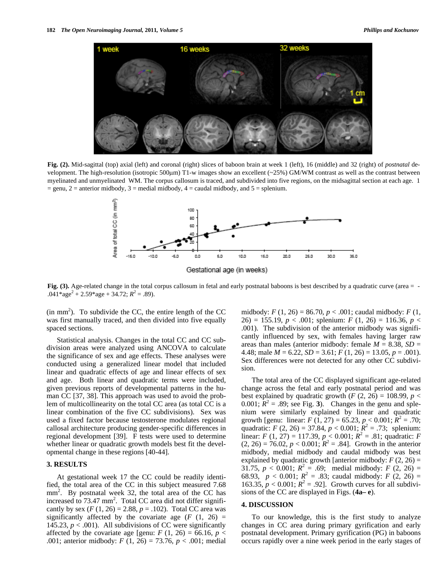

**Fig. (2).** Mid-sagittal (top) axial (left) and coronal (right) slices of baboon brain at week 1 (left), 16 (middle) and 32 (right) of *postnatal* development. The high-resolution (isotropic 500 $\mu$ m) T1-w images show an excellent ( $\sim$ 25%) GM/WM contrast as well as the contrast between myelinated and unmyelinated WM. The corpus callosum is traced, and subdivided into five regions, on the midsagittal section at each age. 1  $=$  genu, 2 = anterior midbody, 3 = medial midbody, 4 = caudal midbody, and 5 = splenium.



**Fig. (3).** Age-related change in the total corpus callosum in fetal and early postnatal baboons is best described by a quadratic curve (area = - $.041*age<sup>2</sup> + 2.59*age + 34.72; R<sup>2</sup> = .89$ .

 $(in \text{ mm}^2)$ . To subdivide the CC, the entire length of the CC was first manually traced, and then divided into five equally spaced sections.

 Statistical analysis. Changes in the total CC and CC subdivision areas were analyzed using ANCOVA to calculate the significance of sex and age effects. These analyses were conducted using a generalized linear model that included linear and quadratic effects of age and linear effects of sex and age. Both linear and quadratic terms were included, given previous reports of developmental patterns in the human CC [37, 38]. This approach was used to avoid the problem of multicollinearity on the total CC area (as total CC is a linear combination of the five CC subdivisions). Sex was used a fixed factor because testosterone modulates regional callosal architecture producing gender-specific differences in regional development [39]. F tests were used to determine whether linear or quadratic growth models best fit the developmental change in these regions [40-44].

# **3. RESULTS**

 At gestational week 17 the CC could be readily identified, the total area of the CC in this subject measured 7.68  $mm<sup>2</sup>$ . By postnatal week 32, the total area of the CC has increased to  $73.47$  mm<sup>2</sup>. Total CC area did not differ significantly by sex  $(F (1, 26) = 2.88, p = .102)$ . Total CC area was significantly affected by the covariate age  $(F (1, 26))$ 145.23,  $p < .001$ ). All subdivisions of CC were significantly affected by the covariate age [genu:  $F(1, 26) = 66.16$ ,  $p <$ .001; anterior midbody: *F* (1, 26) = 73.76, *p* < .001; medial

midbody: *F* (1, 26) = 86.70, *p* < .001; caudal midbody: *F* (1, 26) = 155.19, *p* < .001; splenium: *F* (1, 26) = 116.36, *p* < .001). The subdivision of the anterior midbody was significantly influenced by sex, with females having larger raw areas than males (anterior midbody: female  $M = 8.38$ ,  $SD =$ 4.48; male  $M = 6.22$ ,  $SD = 3.61$ ;  $F(1, 26) = 13.05$ ,  $p = .001$ ). Sex differences were not detected for any other CC subdivision.

 The total area of the CC displayed significant age-related change across the fetal and early postnatal period and was best explained by quadratic growth  $(F (2, 26) = 108.99, p <$ 0.001;  $\mathbb{R}^2 = .89$ ; see Fig. 3). Changes in the genu and splenium were similarly explained by linear and quadratic growth [genu: linear:  $F(1, 27) = 65.23, p < 0.001; R^2 = .70;$ quadratic: *F* (2, 26) = 37.84,  $p < 0.001$ ;  $R^2 = .73$ ; splenium: linear: *F* (1, 27) = 117.39,  $p < 0.001$ ;  $R^2 = .81$ ; quadratic: *F*  $(2, 26) = 76.02, p < 0.001$ ;  $R^2 = .84$ ]. Growth in the anterior midbody, medial midbody and caudal midbody was best explained by quadratic growth [anterior midbody:  $F(2, 26) =$ 31.75,  $p < 0.001$ ;  $R^2 = .69$ ; medial midbody:  $F(2, 26) =$ 68.93,  $p < 0.001$ ;  $R^2 = .83$ ; caudal midbody:  $F(2, 26) =$ 163.35,  $p < 0.001$ ;  $R^2 = .92$ ]. Growth curves for all subdivisions of the CC are displayed in Figs. (**4a– e**).

# **4. DISCUSSION**

 To our knowledge, this is the first study to analyze changes in CC area during primary gyrification and early postnatal development. Primary gyrification (PG) in baboons occurs rapidly over a nine week period in the early stages of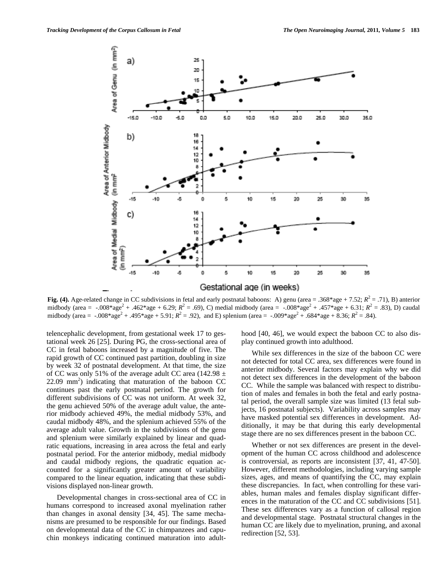

**Fig. (4).** Age-related change in CC subdivisions in fetal and early postnatal baboons: A) genu (area = .368\*age + 7.52;  $R^2 = .71$ ), B) anterior midbody (area = -.008\*age<sup>2</sup> + .462\*age + 6.29; *R*<sup>2</sup> = .69), C) medial midbody (area = -.008\*age<sup>2</sup> + .457\*age + 6.31; *R*<sup>2</sup> = .83), D) caudal midbody (area = -.008\*age<sup>2</sup> + .495\*age + 5.91;  $R^2 = .92$ ), and E) splenium (area = -.009\*age<sup>2</sup> + .684\*age + 8.36;  $R^2 = .84$ ).

telencephalic development, from gestational week 17 to gestational week 26 [25]. During PG, the cross-sectional area of CC in fetal baboons increased by a magnitude of five. The rapid growth of CC continued past partition, doubling in size by week 32 of postnatal development. At that time, the size of CC was only 51% of the average adult CC area (142.98  $\pm$  $22.09$  mm<sup>2</sup>) indicating that maturation of the baboon CC continues past the early postnatal period. The growth for different subdivisions of CC was not uniform. At week 32, the genu achieved 50% of the average adult value, the anterior midbody achieved 49%, the medial midbody 53%, and caudal midbody 48%, and the splenium achieved 55% of the average adult value. Growth in the subdivisions of the genu and splenium were similarly explained by linear and quadratic equations, increasing in area across the fetal and early postnatal period. For the anterior midbody, medial midbody and caudal midbody regions, the quadratic equation accounted for a significantly greater amount of variability compared to the linear equation, indicating that these subdivisions displayed non-linear growth.

 Developmental changes in cross-sectional area of CC in humans correspond to increased axonal myelination rather than changes in axonal density [34, 45]. The same mechanisms are presumed to be responsible for our findings. Based on developmental data of the CC in chimpanzees and capuchin monkeys indicating continued maturation into adulthood [40, 46], we would expect the baboon CC to also display continued growth into adulthood.

 While sex differences in the size of the baboon CC were not detected for total CC area, sex differences were found in anterior midbody. Several factors may explain why we did not detect sex differences in the development of the baboon CC. While the sample was balanced with respect to distribution of males and females in both the fetal and early postnatal period, the overall sample size was limited (13 fetal subjects, 16 postnatal subjects). Variability across samples may have masked potential sex differences in development. Additionally, it may be that during this early developmental stage there are no sex differences present in the baboon CC.

 Whether or not sex differences are present in the development of the human CC across childhood and adolescence is controversial, as reports are inconsistent [37, 41, 47-50]. However, different methodologies, including varying sample sizes, ages, and means of quantifying the CC, may explain these discrepancies. In fact, when controlling for these variables, human males and females display significant differences in the maturation of the CC and CC subdivisions [51]. These sex differences vary as a function of callosal region and developmental stage. Postnatal structural changes in the human CC are likely due to myelination, pruning, and axonal redirection [52, 53].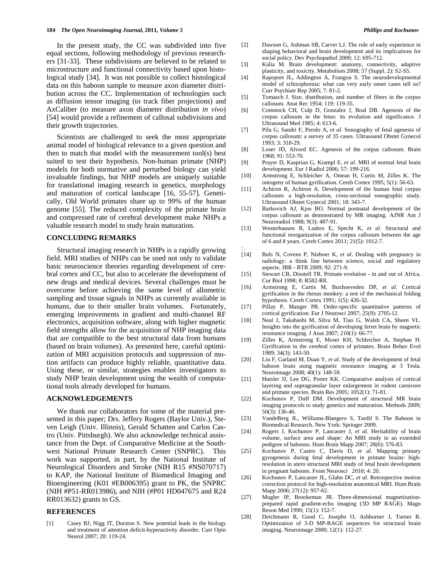In the present study, the CC was subdivided into five equal sections, following methodology of previous researchers [31-33]. These subdivisions are believed to be related to microstructure and functional connectivity based upon histological study [34]. It was not possible to collect histological data on this baboon sample to measure axon diameter distribution across the CC. Implementation of technologies such as diffusion tensor imaging (to track fiber projections) and AxCaliber (to measure axon diameter distribution *in vivo*) [54] would provide a refinement of callosal subdivisions and their growth trajectories.

 Scientists are challenged to seek the most appropriate animal model of biological relevance to a given question and then to match that model with the measurement tool(s) best suited to test their hypothesis. Non-human primate (NHP) models for both normative and perturbed biology can yield invaluable findings, but NHP models are uniquely suitable for translational imaging research in genetics, morphology and maturation of cortical landscape [16, 55-57]. Genetically, Old World primates share up to 99% of the human genome [55]. The reduced complexity of the primate brain and compressed rate of cerebral development make NHPs a valuable research model to study brain maturation.

# **CONCLUDING REMARKS**

 Structural imaging research in NHPs is a rapidly growing field. MRI studies of NHPs can be used not only to validate basic neuroscience theories regarding development of cerebral cortex and CC, but also to accelerate the development of new drugs and medical devices. Several challenges must be overcome before achieving the same level of allometric sampling and tissue signals in NHPs as currently available in humans, due to their smaller brain volumes. Fortunately, emerging improvements in gradient and multi-channel RF electronics, acquisition software, along with higher magnetic field strengths allow for the acquisition of NHP imaging data that are compatible to the best structural data from humans (based on brain volumes). As presented here, careful optimization of MRI acquisition protocols and suppression of motion artifacts can produce highly reliable, quantitative data. Using these, or similar, strategies enables investigators to study NHP brain development using the wealth of computational tools already developed for humans.

# **ACKNOWLEDGEMENTS**

 We thank our collaborators for some of the material presented in this paper; Drs. Jeffery Rogers (Baylor Univ.), Steven Leigh (Univ. Illinois), Gerald Schatten and Carlos Castro (Univ. Pittsburgh). We also acknowledge technical assistance from the Dept. of Comparative Medicine at the Southwest National Primate Research Center (SNPRC). This work was supported, in part, by the National Institute of Neurological Disorders and Stroke (NIH R15 #NS070717) to KAP, the National Institute of Biomedical Imaging and Bioengineering (K01 #EB006395) grant to PK, the SNPRC (NIH #P51-RR013986), and NIH (#P01 HD047675 and R24 RR013632) grants to GS.

# **REFERENCES**

[1] Casey BJ, Nigg JT, Durston S. New potential leads in the biology and treatment of attention deficit-hyperactivity disorder. Curr Opin Neurol 2007; 20: 119-24.

- [2] Dawson G, Ashman SB, Carver LJ. The role of early experience in shaping behavioral and brain development and its implications for social policy. Dev Psychopathol 2000; 12: 695-712.
- [3] Kalia M. Brain development: anatomy, connectivity, adaptive plasticity, and toxicity. Metabolism 2008; 57 (Suppl. 2): S2-S5.
- [4] Rapoport JL, Addington A, Frangou S. The neurodevelopmental model of schizophrenia: what can very early onset cases tell us? Curr Psychiatr Rep 2005; 7: 81-2.
- [5] Tomasch J. Size, distribution, and number of fibers in the corpus callosum. Anat Rec 1954; 119: 119-35.
- [6] Comstock CH, Culp D, Gonzalez J, Boal DB. Agenesis of the corpus callosum in the fetus: its evolution and significance. J Ultrasound Med 1985; 4: 613-6.
- [7] Pilu G, Sandri F, Perolo A, *et al*. Sonography of fetal agenesis of corpus callosum: a survey of 35 cases. Ultrasound Obstet Gynecol 1993; 3: 318-29.
- [8] Loser JD, Alvord EC. Agenesis of the corpus callosum. Brain 1968; 91: 553-70.
- [9] Prayer D, Kasprian G, Krampl E, *et al*. MRI of normal fetal brain development. Eur J Radiol 2006; 57: 199-216.
- [10] Armstrong E, Schleicher A, Omran H, Curtis M, Zilles K. The ontogeny of human gyrification. Cereb Cortex 1995; 5(1): 56-63.
- [11] Achiron R, Achiron A. Development of the human fetal corpus callosum: a high-resolution, cross-sectional sonographic study. Ultrasound Obstet Gynecol 2001; 18: 343-7.
- [12] Barkovich AJ, Kjos BO. Normal postnatal development of the corpus callosum as demonstrated by MR imaging. AJNR Am J Neuroradiol 1988; 9(3): 487-91.
- [13] Westerhausen R, Luders E, Specht K, *et al*. Structural and functional reorganization of the corpus callosum between the age of 6 and 8 years. Cereb Cortex 2011; 21(5): 1012-7.
- $[14]$ Buls N, Covens P, Nieboer K, et al. Dealing with pregnancy in radiology: a think line between science, social and regulatory aspects. JBR - BTR 2009; 92: 271-9.
- [15] Stewart CB, Disotell TR. Primate evolution in and out of Africa. Cur Biol 1998; 8: R582-R8.
- [16] Armstrong E, Curtis M, Buxhoeveden DP, *et al*. Cortical gyrification in the rhesus monkey: a test of the mechanical folding hypothesis. Cereb Cortex 1991; 1(5): 426-32.
- [17] Pillay P, Manger PR. Order-specific quantitative patterns of cortical gyrification. Eur J Neurosci 2007; 25(9): 2705-12.
- [18] Neal J, Takahashi M, Silva M, Tiao G, Walsh CA, Sheen VL. Insights into the gyrification of developing ferret brain by magnetic resonance imaging. J Anat 2007; 210(1): 66-77.
- [19] Zilles K, Armstrong E, Moser KH, Schleicher A, Stephan H. Gyrification in the cerebral cortex of primates. Brain Behav Evol 1989; 34(3): 143-50.
- [20] Liu F, Garland M, Duan Y, *et al*. Study of the development of fetal baboon brain using magnetic resonance imaging at 3 Tesla. Neuroimage 2008; 40(1): 148-59.
- [21] Hutsler JJ, Lee DG, Porter KK. Comparative analysis of cortical layering and supragranular layer enlargement in rodent carnivore and primate species. Brain Res 2005; 1052(1): 71-81.
- [22] Kochunov P, Duff DM. Development of structural MR brain imaging protocols to study genetics and maturation. Methods 2009; 50(3): 136-46.
- [23] VandeBerg JL, Williams-Blangero S, Tardif S. The Baboon in Biomedical Research. New York: Springer 2009.
- [24] Rogers J, Kochunov P, Lancaster J, *et al*. Heritability of brain volume, surface area and shape: An MRI study in an extended pedigree of baboons. Hum Brain Mapp 2007; 28(6): 576-83.
- [25] Kochunov P, Castro C, Davis D, *et al*. Mapping primary gyrogenesis during fetal development in primate brains: highresolution in utero structural MRI study of fetal brain development in pregnant baboons. Front Neurosci 2010; 4: 20.
- [26] Kochunov P, Lancaster JL, Glahn DC, *et al*. Retrospective motion correction protocol for high-resolution anatomical MRI. Hum Brain Mapp 2006; 27(12): 957-62.
- [27] Mugler JP, Brookeman JR. Three-dimensional magnetizationprepared rapid gradient-echo imaging (3D MP RAGE). Magn Reson Med 1990; 15(1): 152-7.
- [28] Deichmann R, Good C, Josephs O, Ashburner J, Turner R. Optimization of 3-D MP-RAGE sequences for structural brain imaging. Neuroimage 2000; 12(1): 112-27.